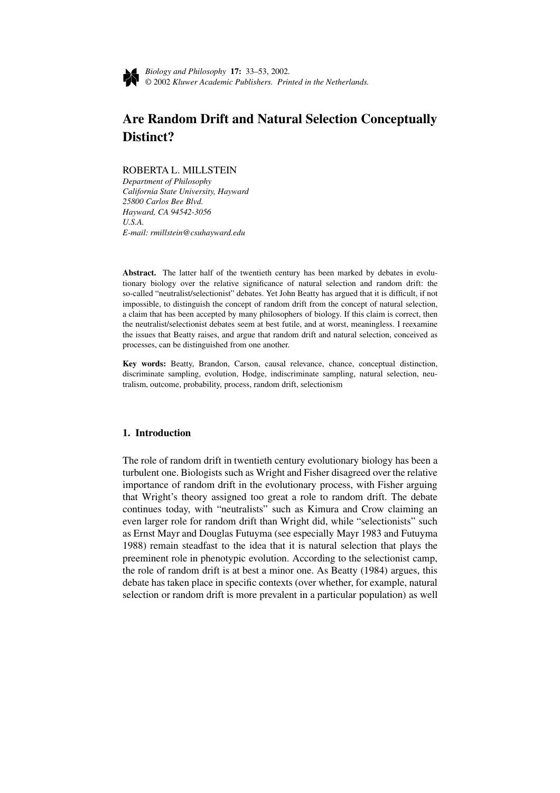

*Biology and Philosophy* **17:** 33–53, 2002. © 2002 *Kluwer Academic Publishers. Printed in the Netherlands.*

# **Are Random Drift and Natural Selection Conceptually Distinct?**

## ROBERTA L. MILLSTEIN

*Department of Philosophy California State University, Hayward 25800 Carlos Bee Blvd. Hayward, CA 94542-3056 U.S.A. E-mail: rmillstein@csuhayward.edu*

Abstract. The latter half of the twentieth century has been marked by debates in evolutionary biology over the relative significance of natural selection and random drift: the so-called "neutralist/selectionist" debates. Yet John Beatty has argued that it is difficult, if not impossible, to distinguish the concept of random drift from the concept of natural selection, a claim that has been accepted by many philosophers of biology. If this claim is correct, then the neutralist/selectionist debates seem at best futile, and at worst, meaningless. I reexamine the issues that Beatty raises, and argue that random drift and natural selection, conceived as processes, can be distinguished from one another.

**Key words:** Beatty, Brandon, Carson, causal relevance, chance, conceptual distinction, discriminate sampling, evolution, Hodge, indiscriminate sampling, natural selection, neutralism, outcome, probability, process, random drift, selectionism

#### **1. Introduction**

The role of random drift in twentieth century evolutionary biology has been a turbulent one. Biologists such as Wright and Fisher disagreed over the relative importance of random drift in the evolutionary process, with Fisher arguing that Wright's theory assigned too great a role to random drift. The debate continues today, with "neutralists" such as Kimura and Crow claiming an even larger role for random drift than Wright did, while "selectionists" such as Ernst Mayr and Douglas Futuyma (see especially Mayr 1983 and Futuyma 1988) remain steadfast to the idea that it is natural selection that plays the preeminent role in phenotypic evolution. According to the selectionist camp, the role of random drift is at best a minor one. As Beatty (1984) argues, this debate has taken place in specific contexts (over whether, for example, natural selection or random drift is more prevalent in a particular population) as well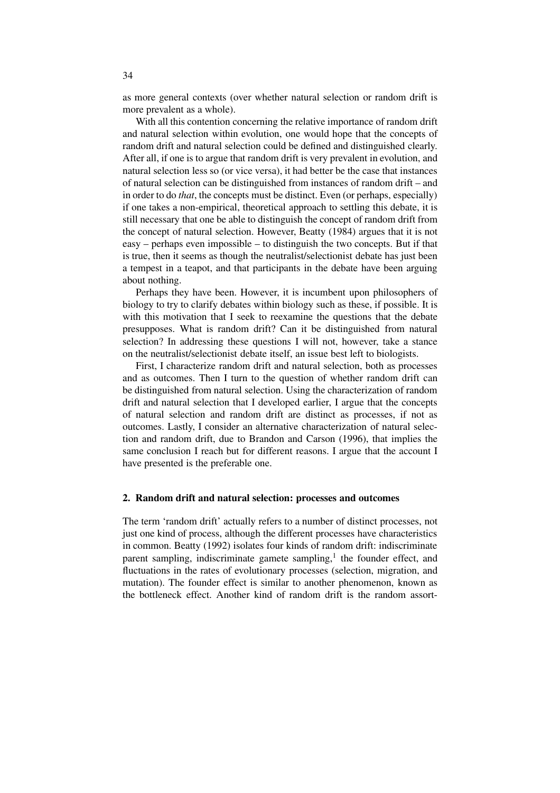as more general contexts (over whether natural selection or random drift is more prevalent as a whole).

With all this contention concerning the relative importance of random drift and natural selection within evolution, one would hope that the concepts of random drift and natural selection could be defined and distinguished clearly. After all, if one is to argue that random drift is very prevalent in evolution, and natural selection less so (or vice versa), it had better be the case that instances of natural selection can be distinguished from instances of random drift – and in order to do *that*, the concepts must be distinct. Even (or perhaps, especially) if one takes a non-empirical, theoretical approach to settling this debate, it is still necessary that one be able to distinguish the concept of random drift from the concept of natural selection. However, Beatty (1984) argues that it is not easy – perhaps even impossible – to distinguish the two concepts. But if that is true, then it seems as though the neutralist/selectionist debate has just been a tempest in a teapot, and that participants in the debate have been arguing about nothing.

Perhaps they have been. However, it is incumbent upon philosophers of biology to try to clarify debates within biology such as these, if possible. It is with this motivation that I seek to reexamine the questions that the debate presupposes. What is random drift? Can it be distinguished from natural selection? In addressing these questions I will not, however, take a stance on the neutralist/selectionist debate itself, an issue best left to biologists.

First, I characterize random drift and natural selection, both as processes and as outcomes. Then I turn to the question of whether random drift can be distinguished from natural selection. Using the characterization of random drift and natural selection that I developed earlier, I argue that the concepts of natural selection and random drift are distinct as processes, if not as outcomes. Lastly, I consider an alternative characterization of natural selection and random drift, due to Brandon and Carson (1996), that implies the same conclusion I reach but for different reasons. I argue that the account I have presented is the preferable one.

#### **2. Random drift and natural selection: processes and outcomes**

The term 'random drift' actually refers to a number of distinct processes, not just one kind of process, although the different processes have characteristics in common. Beatty (1992) isolates four kinds of random drift: indiscriminate parent sampling, indiscriminate gamete sampling, $<sup>1</sup>$  the founder effect, and</sup> fluctuations in the rates of evolutionary processes (selection, migration, and mutation). The founder effect is similar to another phenomenon, known as the bottleneck effect. Another kind of random drift is the random assort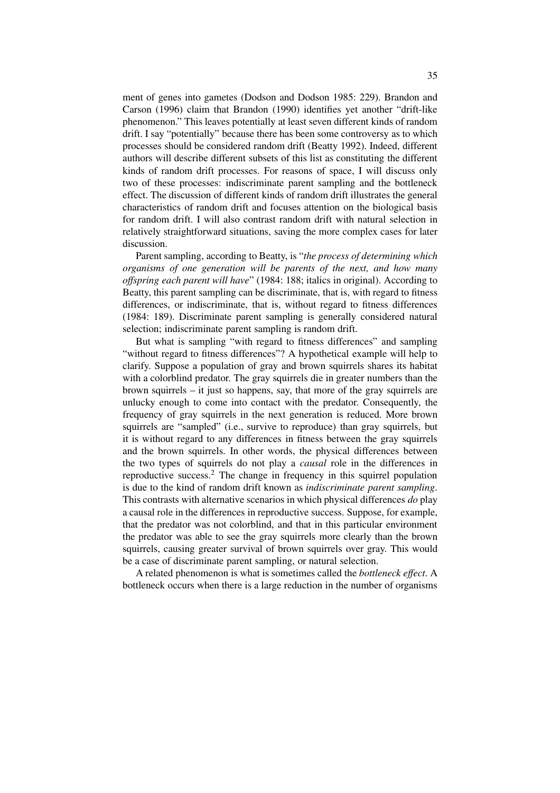ment of genes into gametes (Dodson and Dodson 1985: 229). Brandon and Carson (1996) claim that Brandon (1990) identifies yet another "drift-like phenomenon." This leaves potentially at least seven different kinds of random drift. I say "potentially" because there has been some controversy as to which processes should be considered random drift (Beatty 1992). Indeed, different authors will describe different subsets of this list as constituting the different kinds of random drift processes. For reasons of space, I will discuss only two of these processes: indiscriminate parent sampling and the bottleneck effect. The discussion of different kinds of random drift illustrates the general characteristics of random drift and focuses attention on the biological basis for random drift. I will also contrast random drift with natural selection in relatively straightforward situations, saving the more complex cases for later discussion.

Parent sampling, according to Beatty, is "*the process of determining which organisms of one generation will be parents of the next, and how many offspring each parent will have*" (1984: 188; italics in original). According to Beatty, this parent sampling can be discriminate, that is, with regard to fitness differences, or indiscriminate, that is, without regard to fitness differences (1984: 189). Discriminate parent sampling is generally considered natural selection; indiscriminate parent sampling is random drift.

But what is sampling "with regard to fitness differences" and sampling "without regard to fitness differences"? A hypothetical example will help to clarify. Suppose a population of gray and brown squirrels shares its habitat with a colorblind predator. The gray squirrels die in greater numbers than the brown squirrels – it just so happens, say, that more of the gray squirrels are unlucky enough to come into contact with the predator. Consequently, the frequency of gray squirrels in the next generation is reduced. More brown squirrels are "sampled" (i.e., survive to reproduce) than gray squirrels, but it is without regard to any differences in fitness between the gray squirrels and the brown squirrels. In other words, the physical differences between the two types of squirrels do not play a *causal* role in the differences in reproductive success.<sup>2</sup> The change in frequency in this squirrel population is due to the kind of random drift known as *indiscriminate parent sampling*. This contrasts with alternative scenarios in which physical differences *do* play a causal role in the differences in reproductive success. Suppose, for example, that the predator was not colorblind, and that in this particular environment the predator was able to see the gray squirrels more clearly than the brown squirrels, causing greater survival of brown squirrels over gray. This would be a case of discriminate parent sampling, or natural selection.

A related phenomenon is what is sometimes called the *bottleneck effect*. A bottleneck occurs when there is a large reduction in the number of organisms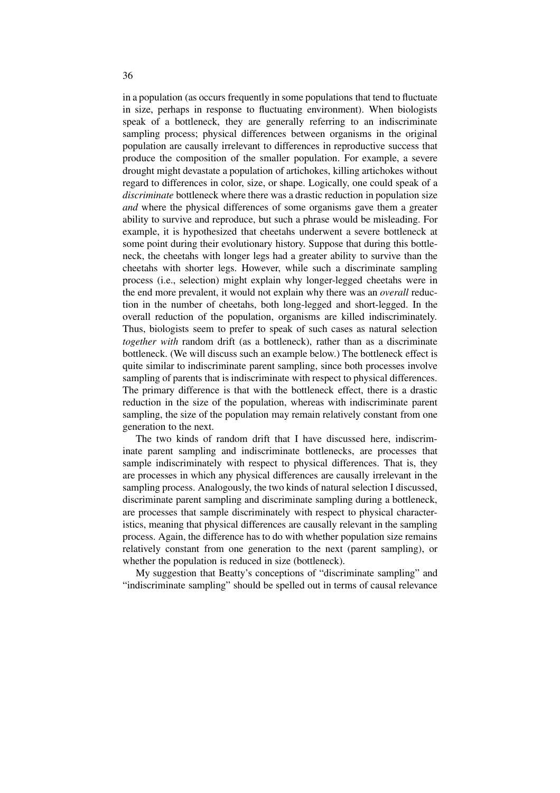in a population (as occurs frequently in some populations that tend to fluctuate in size, perhaps in response to fluctuating environment). When biologists speak of a bottleneck, they are generally referring to an indiscriminate sampling process; physical differences between organisms in the original population are causally irrelevant to differences in reproductive success that produce the composition of the smaller population. For example, a severe drought might devastate a population of artichokes, killing artichokes without regard to differences in color, size, or shape. Logically, one could speak of a *discriminate* bottleneck where there was a drastic reduction in population size *and* where the physical differences of some organisms gave them a greater ability to survive and reproduce, but such a phrase would be misleading. For example, it is hypothesized that cheetahs underwent a severe bottleneck at some point during their evolutionary history. Suppose that during this bottleneck, the cheetahs with longer legs had a greater ability to survive than the cheetahs with shorter legs. However, while such a discriminate sampling process (i.e., selection) might explain why longer-legged cheetahs were in the end more prevalent, it would not explain why there was an *overall* reduction in the number of cheetahs, both long-legged and short-legged. In the overall reduction of the population, organisms are killed indiscriminately. Thus, biologists seem to prefer to speak of such cases as natural selection *together with* random drift (as a bottleneck), rather than as a discriminate bottleneck. (We will discuss such an example below.) The bottleneck effect is quite similar to indiscriminate parent sampling, since both processes involve sampling of parents that is indiscriminate with respect to physical differences. The primary difference is that with the bottleneck effect, there is a drastic reduction in the size of the population, whereas with indiscriminate parent sampling, the size of the population may remain relatively constant from one generation to the next.

The two kinds of random drift that I have discussed here, indiscriminate parent sampling and indiscriminate bottlenecks, are processes that sample indiscriminately with respect to physical differences. That is, they are processes in which any physical differences are causally irrelevant in the sampling process. Analogously, the two kinds of natural selection I discussed, discriminate parent sampling and discriminate sampling during a bottleneck, are processes that sample discriminately with respect to physical characteristics, meaning that physical differences are causally relevant in the sampling process. Again, the difference has to do with whether population size remains relatively constant from one generation to the next (parent sampling), or whether the population is reduced in size (bottleneck).

My suggestion that Beatty's conceptions of "discriminate sampling" and "indiscriminate sampling" should be spelled out in terms of causal relevance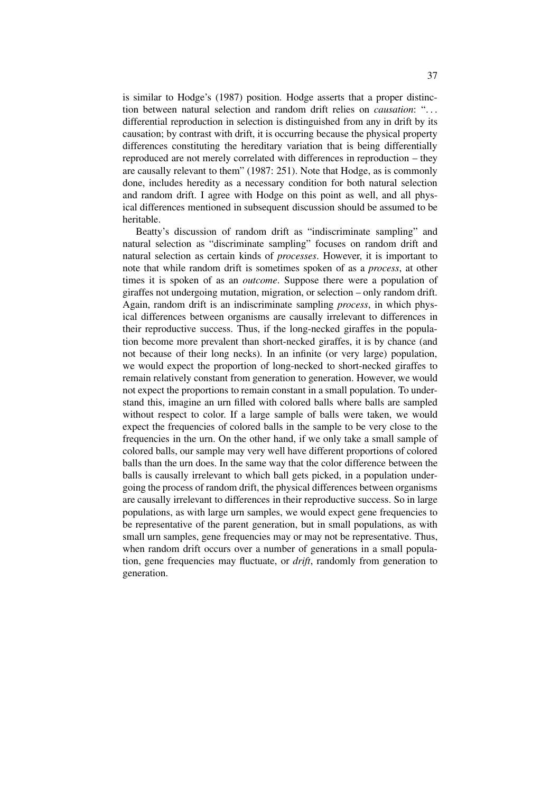is similar to Hodge's (1987) position. Hodge asserts that a proper distinction between natural selection and random drift relies on *causation*: "*...* differential reproduction in selection is distinguished from any in drift by its causation; by contrast with drift, it is occurring because the physical property differences constituting the hereditary variation that is being differentially reproduced are not merely correlated with differences in reproduction – they are causally relevant to them" (1987: 251). Note that Hodge, as is commonly done, includes heredity as a necessary condition for both natural selection and random drift. I agree with Hodge on this point as well, and all physical differences mentioned in subsequent discussion should be assumed to be heritable.

Beatty's discussion of random drift as "indiscriminate sampling" and natural selection as "discriminate sampling" focuses on random drift and natural selection as certain kinds of *processes*. However, it is important to note that while random drift is sometimes spoken of as a *process*, at other times it is spoken of as an *outcome*. Suppose there were a population of giraffes not undergoing mutation, migration, or selection – only random drift. Again, random drift is an indiscriminate sampling *process*, in which physical differences between organisms are causally irrelevant to differences in their reproductive success. Thus, if the long-necked giraffes in the population become more prevalent than short-necked giraffes, it is by chance (and not because of their long necks). In an infinite (or very large) population, we would expect the proportion of long-necked to short-necked giraffes to remain relatively constant from generation to generation. However, we would not expect the proportions to remain constant in a small population. To understand this, imagine an urn filled with colored balls where balls are sampled without respect to color. If a large sample of balls were taken, we would expect the frequencies of colored balls in the sample to be very close to the frequencies in the urn. On the other hand, if we only take a small sample of colored balls, our sample may very well have different proportions of colored balls than the urn does. In the same way that the color difference between the balls is causally irrelevant to which ball gets picked, in a population undergoing the process of random drift, the physical differences between organisms are causally irrelevant to differences in their reproductive success. So in large populations, as with large urn samples, we would expect gene frequencies to be representative of the parent generation, but in small populations, as with small urn samples, gene frequencies may or may not be representative. Thus, when random drift occurs over a number of generations in a small population, gene frequencies may fluctuate, or *drift*, randomly from generation to generation.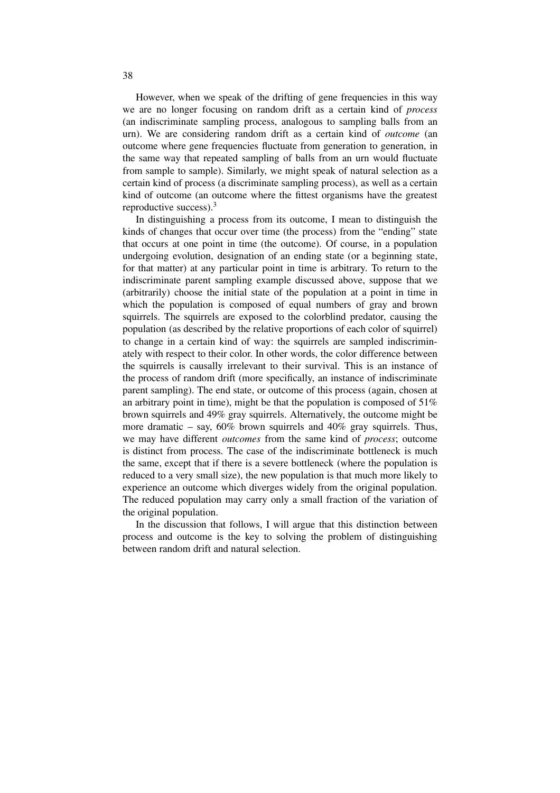However, when we speak of the drifting of gene frequencies in this way we are no longer focusing on random drift as a certain kind of *process* (an indiscriminate sampling process, analogous to sampling balls from an urn). We are considering random drift as a certain kind of *outcome* (an outcome where gene frequencies fluctuate from generation to generation, in the same way that repeated sampling of balls from an urn would fluctuate from sample to sample). Similarly, we might speak of natural selection as a certain kind of process (a discriminate sampling process), as well as a certain kind of outcome (an outcome where the fittest organisms have the greatest reproductive success).<sup>3</sup>

In distinguishing a process from its outcome, I mean to distinguish the kinds of changes that occur over time (the process) from the "ending" state that occurs at one point in time (the outcome). Of course, in a population undergoing evolution, designation of an ending state (or a beginning state, for that matter) at any particular point in time is arbitrary. To return to the indiscriminate parent sampling example discussed above, suppose that we (arbitrarily) choose the initial state of the population at a point in time in which the population is composed of equal numbers of gray and brown squirrels. The squirrels are exposed to the colorblind predator, causing the population (as described by the relative proportions of each color of squirrel) to change in a certain kind of way: the squirrels are sampled indiscriminately with respect to their color. In other words, the color difference between the squirrels is causally irrelevant to their survival. This is an instance of the process of random drift (more specifically, an instance of indiscriminate parent sampling). The end state, or outcome of this process (again, chosen at an arbitrary point in time), might be that the population is composed of 51% brown squirrels and 49% gray squirrels. Alternatively, the outcome might be more dramatic – say, 60% brown squirrels and 40% gray squirrels. Thus, we may have different *outcomes* from the same kind of *process*; outcome is distinct from process. The case of the indiscriminate bottleneck is much the same, except that if there is a severe bottleneck (where the population is reduced to a very small size), the new population is that much more likely to experience an outcome which diverges widely from the original population. The reduced population may carry only a small fraction of the variation of the original population.

In the discussion that follows, I will argue that this distinction between process and outcome is the key to solving the problem of distinguishing between random drift and natural selection.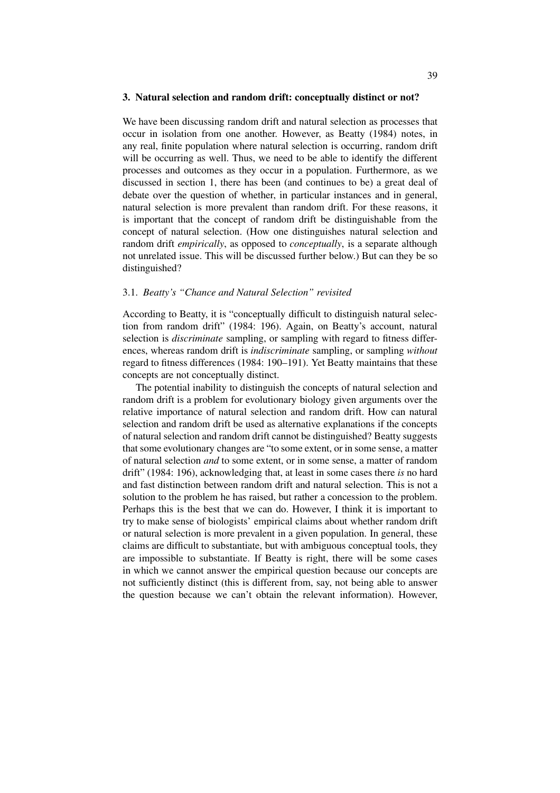#### **3. Natural selection and random drift: conceptually distinct or not?**

We have been discussing random drift and natural selection as processes that occur in isolation from one another. However, as Beatty (1984) notes, in any real, finite population where natural selection is occurring, random drift will be occurring as well. Thus, we need to be able to identify the different processes and outcomes as they occur in a population. Furthermore, as we discussed in section 1, there has been (and continues to be) a great deal of debate over the question of whether, in particular instances and in general, natural selection is more prevalent than random drift. For these reasons, it is important that the concept of random drift be distinguishable from the concept of natural selection. (How one distinguishes natural selection and random drift *empirically*, as opposed to *conceptually*, is a separate although not unrelated issue. This will be discussed further below.) But can they be so distinguished?

#### 3.1. *Beatty's "Chance and Natural Selection" revisited*

According to Beatty, it is "conceptually difficult to distinguish natural selection from random drift" (1984: 196). Again, on Beatty's account, natural selection is *discriminate* sampling, or sampling with regard to fitness differences, whereas random drift is *indiscriminate* sampling, or sampling *without* regard to fitness differences (1984: 190–191). Yet Beatty maintains that these concepts are not conceptually distinct.

The potential inability to distinguish the concepts of natural selection and random drift is a problem for evolutionary biology given arguments over the relative importance of natural selection and random drift. How can natural selection and random drift be used as alternative explanations if the concepts of natural selection and random drift cannot be distinguished? Beatty suggests that some evolutionary changes are "to some extent, or in some sense, a matter of natural selection *and* to some extent, or in some sense, a matter of random drift" (1984: 196), acknowledging that, at least in some cases there *is* no hard and fast distinction between random drift and natural selection. This is not a solution to the problem he has raised, but rather a concession to the problem. Perhaps this is the best that we can do. However, I think it is important to try to make sense of biologists' empirical claims about whether random drift or natural selection is more prevalent in a given population. In general, these claims are difficult to substantiate, but with ambiguous conceptual tools, they are impossible to substantiate. If Beatty is right, there will be some cases in which we cannot answer the empirical question because our concepts are not sufficiently distinct (this is different from, say, not being able to answer the question because we can't obtain the relevant information). However,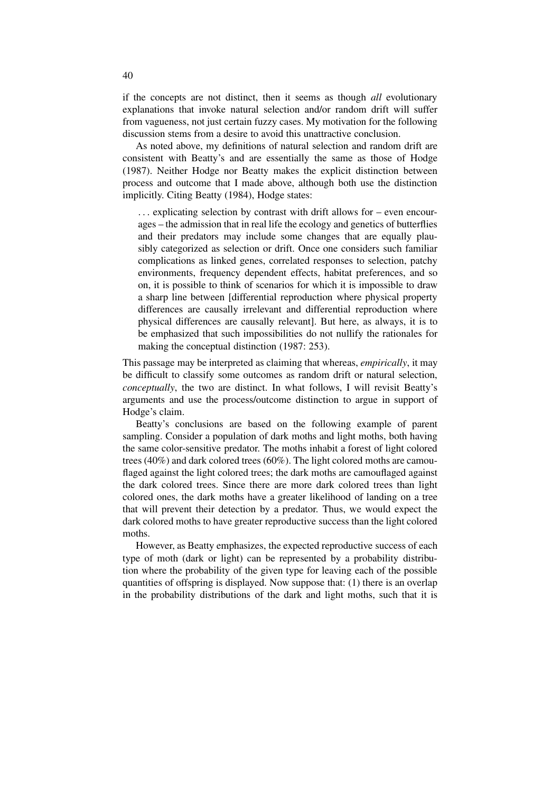if the concepts are not distinct, then it seems as though *all* evolutionary explanations that invoke natural selection and/or random drift will suffer from vagueness, not just certain fuzzy cases. My motivation for the following discussion stems from a desire to avoid this unattractive conclusion.

As noted above, my definitions of natural selection and random drift are consistent with Beatty's and are essentially the same as those of Hodge (1987). Neither Hodge nor Beatty makes the explicit distinction between process and outcome that I made above, although both use the distinction implicitly. Citing Beatty (1984), Hodge states:

*...* explicating selection by contrast with drift allows for – even encourages – the admission that in real life the ecology and genetics of butterflies and their predators may include some changes that are equally plausibly categorized as selection or drift. Once one considers such familiar complications as linked genes, correlated responses to selection, patchy environments, frequency dependent effects, habitat preferences, and so on, it is possible to think of scenarios for which it is impossible to draw a sharp line between [differential reproduction where physical property differences are causally irrelevant and differential reproduction where physical differences are causally relevant]. But here, as always, it is to be emphasized that such impossibilities do not nullify the rationales for making the conceptual distinction (1987: 253).

This passage may be interpreted as claiming that whereas, *empirically*, it may be difficult to classify some outcomes as random drift or natural selection, *conceptually*, the two are distinct. In what follows, I will revisit Beatty's arguments and use the process/outcome distinction to argue in support of Hodge's claim.

Beatty's conclusions are based on the following example of parent sampling. Consider a population of dark moths and light moths, both having the same color-sensitive predator. The moths inhabit a forest of light colored trees (40%) and dark colored trees (60%). The light colored moths are camouflaged against the light colored trees; the dark moths are camouflaged against the dark colored trees. Since there are more dark colored trees than light colored ones, the dark moths have a greater likelihood of landing on a tree that will prevent their detection by a predator. Thus, we would expect the dark colored moths to have greater reproductive success than the light colored moths.

However, as Beatty emphasizes, the expected reproductive success of each type of moth (dark or light) can be represented by a probability distribution where the probability of the given type for leaving each of the possible quantities of offspring is displayed. Now suppose that: (1) there is an overlap in the probability distributions of the dark and light moths, such that it is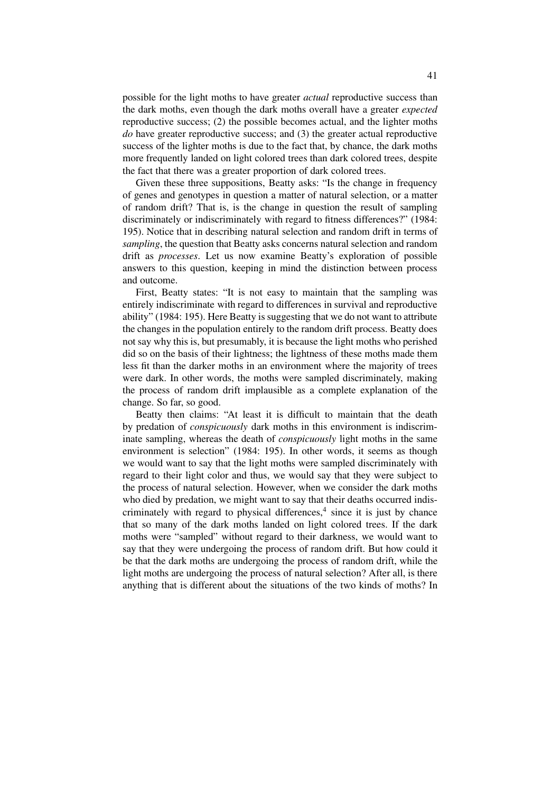possible for the light moths to have greater *actual* reproductive success than the dark moths, even though the dark moths overall have a greater *expected* reproductive success; (2) the possible becomes actual, and the lighter moths *do* have greater reproductive success; and (3) the greater actual reproductive success of the lighter moths is due to the fact that, by chance, the dark moths more frequently landed on light colored trees than dark colored trees, despite the fact that there was a greater proportion of dark colored trees.

Given these three suppositions, Beatty asks: "Is the change in frequency of genes and genotypes in question a matter of natural selection, or a matter of random drift? That is, is the change in question the result of sampling discriminately or indiscriminately with regard to fitness differences?" (1984: 195). Notice that in describing natural selection and random drift in terms of *sampling*, the question that Beatty asks concerns natural selection and random drift as *processes*. Let us now examine Beatty's exploration of possible answers to this question, keeping in mind the distinction between process and outcome.

First, Beatty states: "It is not easy to maintain that the sampling was entirely indiscriminate with regard to differences in survival and reproductive ability" (1984: 195). Here Beatty is suggesting that we do not want to attribute the changes in the population entirely to the random drift process. Beatty does not say why this is, but presumably, it is because the light moths who perished did so on the basis of their lightness; the lightness of these moths made them less fit than the darker moths in an environment where the majority of trees were dark. In other words, the moths were sampled discriminately, making the process of random drift implausible as a complete explanation of the change. So far, so good.

Beatty then claims: "At least it is difficult to maintain that the death by predation of *conspicuously* dark moths in this environment is indiscriminate sampling, whereas the death of *conspicuously* light moths in the same environment is selection" (1984: 195). In other words, it seems as though we would want to say that the light moths were sampled discriminately with regard to their light color and thus, we would say that they were subject to the process of natural selection. However, when we consider the dark moths who died by predation, we might want to say that their deaths occurred indiscriminately with regard to physical differences, $4$  since it is just by chance that so many of the dark moths landed on light colored trees. If the dark moths were "sampled" without regard to their darkness, we would want to say that they were undergoing the process of random drift. But how could it be that the dark moths are undergoing the process of random drift, while the light moths are undergoing the process of natural selection? After all, is there anything that is different about the situations of the two kinds of moths? In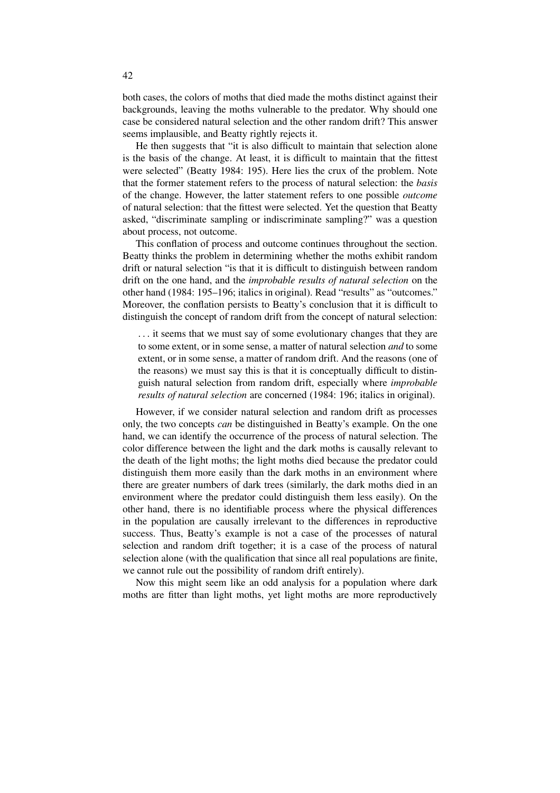both cases, the colors of moths that died made the moths distinct against their backgrounds, leaving the moths vulnerable to the predator. Why should one case be considered natural selection and the other random drift? This answer seems implausible, and Beatty rightly rejects it.

He then suggests that "it is also difficult to maintain that selection alone is the basis of the change. At least, it is difficult to maintain that the fittest were selected" (Beatty 1984: 195). Here lies the crux of the problem. Note that the former statement refers to the process of natural selection: the *basis* of the change. However, the latter statement refers to one possible *outcome* of natural selection: that the fittest were selected. Yet the question that Beatty asked, "discriminate sampling or indiscriminate sampling?" was a question about process, not outcome.

This conflation of process and outcome continues throughout the section. Beatty thinks the problem in determining whether the moths exhibit random drift or natural selection "is that it is difficult to distinguish between random drift on the one hand, and the *improbable results of natural selection* on the other hand (1984: 195–196; italics in original). Read "results" as "outcomes." Moreover, the conflation persists to Beatty's conclusion that it is difficult to distinguish the concept of random drift from the concept of natural selection:

*...* it seems that we must say of some evolutionary changes that they are to some extent, or in some sense, a matter of natural selection *and* to some extent, or in some sense, a matter of random drift. And the reasons (one of the reasons) we must say this is that it is conceptually difficult to distinguish natural selection from random drift, especially where *improbable results of natural selection* are concerned (1984: 196; italics in original).

However, if we consider natural selection and random drift as processes only, the two concepts *can* be distinguished in Beatty's example. On the one hand, we can identify the occurrence of the process of natural selection. The color difference between the light and the dark moths is causally relevant to the death of the light moths; the light moths died because the predator could distinguish them more easily than the dark moths in an environment where there are greater numbers of dark trees (similarly, the dark moths died in an environment where the predator could distinguish them less easily). On the other hand, there is no identifiable process where the physical differences in the population are causally irrelevant to the differences in reproductive success. Thus, Beatty's example is not a case of the processes of natural selection and random drift together; it is a case of the process of natural selection alone (with the qualification that since all real populations are finite, we cannot rule out the possibility of random drift entirely).

Now this might seem like an odd analysis for a population where dark moths are fitter than light moths, yet light moths are more reproductively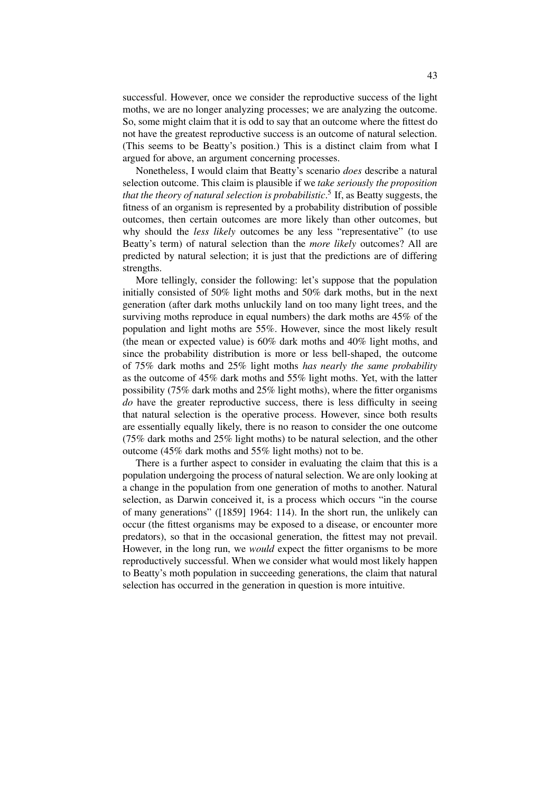successful. However, once we consider the reproductive success of the light moths, we are no longer analyzing processes; we are analyzing the outcome. So, some might claim that it is odd to say that an outcome where the fittest do not have the greatest reproductive success is an outcome of natural selection. (This seems to be Beatty's position.) This is a distinct claim from what I argued for above, an argument concerning processes.

Nonetheless, I would claim that Beatty's scenario *does* describe a natural selection outcome. This claim is plausible if we *take seriously the proposition that the theory of natural selection is probabilistic*. <sup>5</sup> If, as Beatty suggests, the fitness of an organism is represented by a probability distribution of possible outcomes, then certain outcomes are more likely than other outcomes, but why should the *less likely* outcomes be any less "representative" (to use Beatty's term) of natural selection than the *more likely* outcomes? All are predicted by natural selection; it is just that the predictions are of differing strengths.

More tellingly, consider the following: let's suppose that the population initially consisted of 50% light moths and 50% dark moths, but in the next generation (after dark moths unluckily land on too many light trees, and the surviving moths reproduce in equal numbers) the dark moths are 45% of the population and light moths are 55%. However, since the most likely result (the mean or expected value) is 60% dark moths and 40% light moths, and since the probability distribution is more or less bell-shaped, the outcome of 75% dark moths and 25% light moths *has nearly the same probability* as the outcome of 45% dark moths and 55% light moths. Yet, with the latter possibility (75% dark moths and 25% light moths), where the fitter organisms *do* have the greater reproductive success, there is less difficulty in seeing that natural selection is the operative process. However, since both results are essentially equally likely, there is no reason to consider the one outcome (75% dark moths and 25% light moths) to be natural selection, and the other outcome (45% dark moths and 55% light moths) not to be.

There is a further aspect to consider in evaluating the claim that this is a population undergoing the process of natural selection. We are only looking at a change in the population from one generation of moths to another. Natural selection, as Darwin conceived it, is a process which occurs "in the course of many generations" ([1859] 1964: 114). In the short run, the unlikely can occur (the fittest organisms may be exposed to a disease, or encounter more predators), so that in the occasional generation, the fittest may not prevail. However, in the long run, we *would* expect the fitter organisms to be more reproductively successful. When we consider what would most likely happen to Beatty's moth population in succeeding generations, the claim that natural selection has occurred in the generation in question is more intuitive.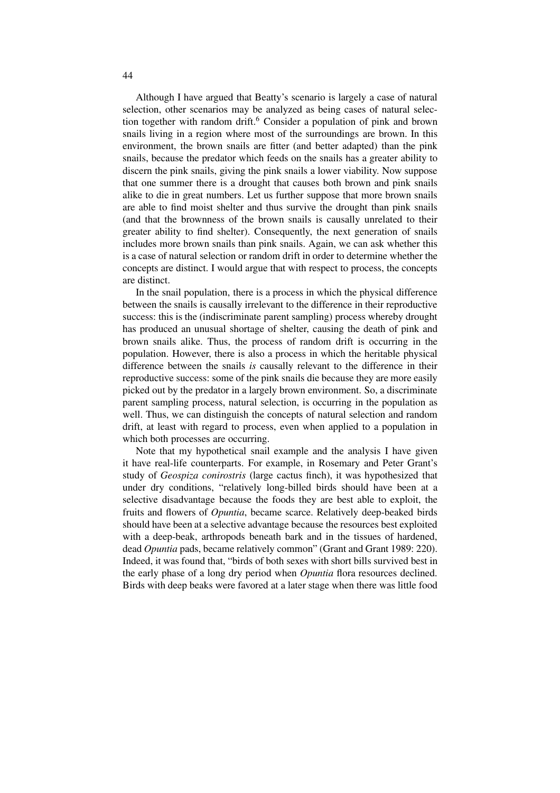Although I have argued that Beatty's scenario is largely a case of natural selection, other scenarios may be analyzed as being cases of natural selection together with random drift.<sup>6</sup> Consider a population of pink and brown snails living in a region where most of the surroundings are brown. In this environment, the brown snails are fitter (and better adapted) than the pink snails, because the predator which feeds on the snails has a greater ability to discern the pink snails, giving the pink snails a lower viability. Now suppose that one summer there is a drought that causes both brown and pink snails alike to die in great numbers. Let us further suppose that more brown snails are able to find moist shelter and thus survive the drought than pink snails (and that the brownness of the brown snails is causally unrelated to their greater ability to find shelter). Consequently, the next generation of snails includes more brown snails than pink snails. Again, we can ask whether this is a case of natural selection or random drift in order to determine whether the concepts are distinct. I would argue that with respect to process, the concepts are distinct.

In the snail population, there is a process in which the physical difference between the snails is causally irrelevant to the difference in their reproductive success: this is the (indiscriminate parent sampling) process whereby drought has produced an unusual shortage of shelter, causing the death of pink and brown snails alike. Thus, the process of random drift is occurring in the population. However, there is also a process in which the heritable physical difference between the snails *is* causally relevant to the difference in their reproductive success: some of the pink snails die because they are more easily picked out by the predator in a largely brown environment. So, a discriminate parent sampling process, natural selection, is occurring in the population as well. Thus, we can distinguish the concepts of natural selection and random drift, at least with regard to process, even when applied to a population in which both processes are occurring.

Note that my hypothetical snail example and the analysis I have given it have real-life counterparts. For example, in Rosemary and Peter Grant's study of *Geospiza conirostris* (large cactus finch), it was hypothesized that under dry conditions, "relatively long-billed birds should have been at a selective disadvantage because the foods they are best able to exploit, the fruits and flowers of *Opuntia*, became scarce. Relatively deep-beaked birds should have been at a selective advantage because the resources best exploited with a deep-beak, arthropods beneath bark and in the tissues of hardened, dead *Opuntia* pads, became relatively common" (Grant and Grant 1989: 220). Indeed, it was found that, "birds of both sexes with short bills survived best in the early phase of a long dry period when *Opuntia* flora resources declined. Birds with deep beaks were favored at a later stage when there was little food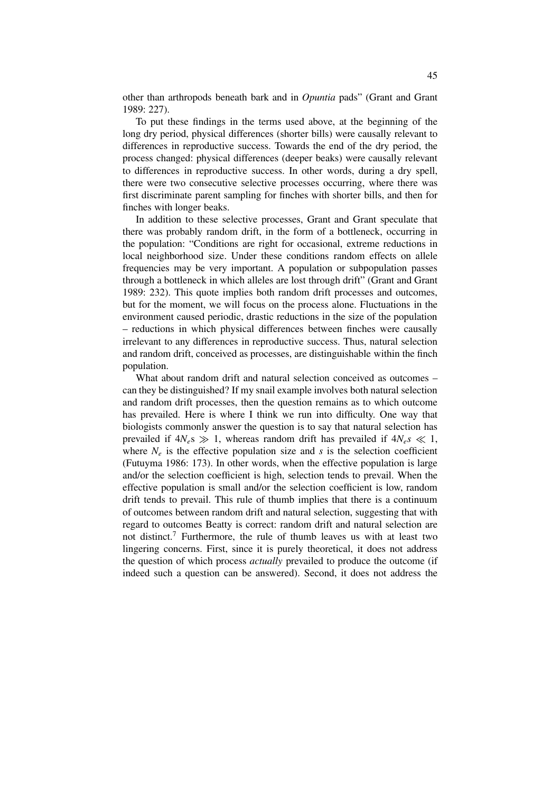other than arthropods beneath bark and in *Opuntia* pads" (Grant and Grant 1989: 227).

To put these findings in the terms used above, at the beginning of the long dry period, physical differences (shorter bills) were causally relevant to differences in reproductive success. Towards the end of the dry period, the process changed: physical differences (deeper beaks) were causally relevant to differences in reproductive success. In other words, during a dry spell, there were two consecutive selective processes occurring, where there was first discriminate parent sampling for finches with shorter bills, and then for finches with longer beaks.

In addition to these selective processes, Grant and Grant speculate that there was probably random drift, in the form of a bottleneck, occurring in the population: "Conditions are right for occasional, extreme reductions in local neighborhood size. Under these conditions random effects on allele frequencies may be very important. A population or subpopulation passes through a bottleneck in which alleles are lost through drift" (Grant and Grant 1989: 232). This quote implies both random drift processes and outcomes, but for the moment, we will focus on the process alone. Fluctuations in the environment caused periodic, drastic reductions in the size of the population – reductions in which physical differences between finches were causally irrelevant to any differences in reproductive success. Thus, natural selection and random drift, conceived as processes, are distinguishable within the finch population.

What about random drift and natural selection conceived as outcomes – can they be distinguished? If my snail example involves both natural selection and random drift processes, then the question remains as to which outcome has prevailed. Here is where I think we run into difficulty. One way that biologists commonly answer the question is to say that natural selection has prevailed if  $4N_e s \gg 1$ , whereas random drift has prevailed if  $4N_e s \ll 1$ , where  $N_e$  is the effective population size and *s* is the selection coefficient (Futuyma 1986: 173). In other words, when the effective population is large and/or the selection coefficient is high, selection tends to prevail. When the effective population is small and/or the selection coefficient is low, random drift tends to prevail. This rule of thumb implies that there is a continuum of outcomes between random drift and natural selection, suggesting that with regard to outcomes Beatty is correct: random drift and natural selection are not distinct.<sup>7</sup> Furthermore, the rule of thumb leaves us with at least two lingering concerns. First, since it is purely theoretical, it does not address the question of which process *actually* prevailed to produce the outcome (if indeed such a question can be answered). Second, it does not address the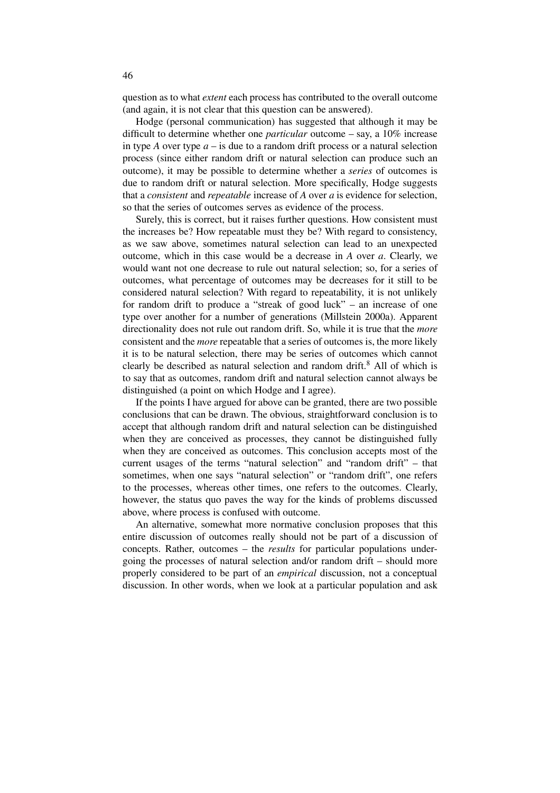question as to what *extent* each process has contributed to the overall outcome (and again, it is not clear that this question can be answered).

Hodge (personal communication) has suggested that although it may be difficult to determine whether one *particular* outcome – say, a 10% increase in type *A* over type  $a -$  is due to a random drift process or a natural selection process (since either random drift or natural selection can produce such an outcome), it may be possible to determine whether a *series* of outcomes is due to random drift or natural selection. More specifically, Hodge suggests that a *consistent* and *repeatable* increase of *A* over *a* is evidence for selection, so that the series of outcomes serves as evidence of the process.

Surely, this is correct, but it raises further questions. How consistent must the increases be? How repeatable must they be? With regard to consistency, as we saw above, sometimes natural selection can lead to an unexpected outcome, which in this case would be a decrease in *A* over *a*. Clearly, we would want not one decrease to rule out natural selection; so, for a series of outcomes, what percentage of outcomes may be decreases for it still to be considered natural selection? With regard to repeatability, it is not unlikely for random drift to produce a "streak of good luck" – an increase of one type over another for a number of generations (Millstein 2000a). Apparent directionality does not rule out random drift. So, while it is true that the *more* consistent and the *more* repeatable that a series of outcomes is, the more likely it is to be natural selection, there may be series of outcomes which cannot clearly be described as natural selection and random drift.<sup>8</sup> All of which is to say that as outcomes, random drift and natural selection cannot always be distinguished (a point on which Hodge and I agree).

If the points I have argued for above can be granted, there are two possible conclusions that can be drawn. The obvious, straightforward conclusion is to accept that although random drift and natural selection can be distinguished when they are conceived as processes, they cannot be distinguished fully when they are conceived as outcomes. This conclusion accepts most of the current usages of the terms "natural selection" and "random drift" – that sometimes, when one says "natural selection" or "random drift", one refers to the processes, whereas other times, one refers to the outcomes. Clearly, however, the status quo paves the way for the kinds of problems discussed above, where process is confused with outcome.

An alternative, somewhat more normative conclusion proposes that this entire discussion of outcomes really should not be part of a discussion of concepts. Rather, outcomes – the *results* for particular populations undergoing the processes of natural selection and/or random drift – should more properly considered to be part of an *empirical* discussion, not a conceptual discussion. In other words, when we look at a particular population and ask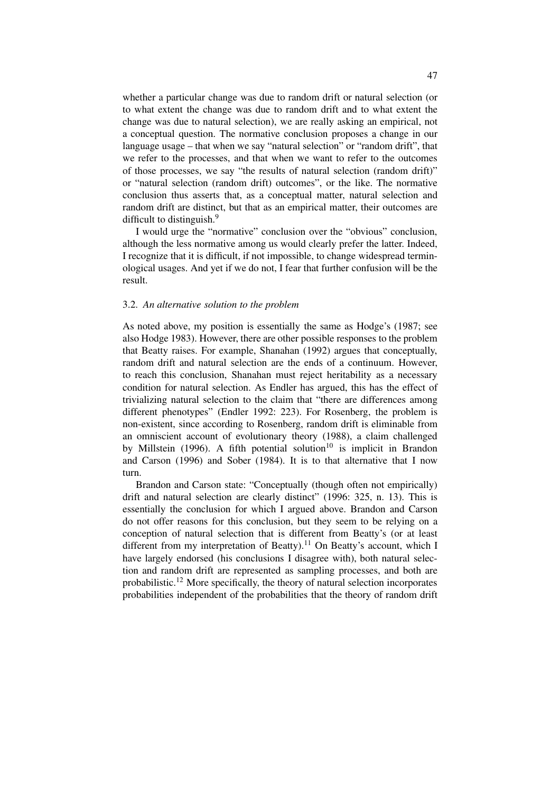whether a particular change was due to random drift or natural selection (or to what extent the change was due to random drift and to what extent the change was due to natural selection), we are really asking an empirical, not a conceptual question. The normative conclusion proposes a change in our language usage – that when we say "natural selection" or "random drift", that we refer to the processes, and that when we want to refer to the outcomes of those processes, we say "the results of natural selection (random drift)" or "natural selection (random drift) outcomes", or the like. The normative conclusion thus asserts that, as a conceptual matter, natural selection and random drift are distinct, but that as an empirical matter, their outcomes are difficult to distinguish.<sup>9</sup>

I would urge the "normative" conclusion over the "obvious" conclusion, although the less normative among us would clearly prefer the latter. Indeed, I recognize that it is difficult, if not impossible, to change widespread terminological usages. And yet if we do not, I fear that further confusion will be the result.

#### 3.2. *An alternative solution to the problem*

As noted above, my position is essentially the same as Hodge's (1987; see also Hodge 1983). However, there are other possible responses to the problem that Beatty raises. For example, Shanahan (1992) argues that conceptually, random drift and natural selection are the ends of a continuum. However, to reach this conclusion, Shanahan must reject heritability as a necessary condition for natural selection. As Endler has argued, this has the effect of trivializing natural selection to the claim that "there are differences among different phenotypes" (Endler 1992: 223). For Rosenberg, the problem is non-existent, since according to Rosenberg, random drift is eliminable from an omniscient account of evolutionary theory (1988), a claim challenged by Millstein (1996). A fifth potential solution<sup>10</sup> is implicit in Brandon and Carson (1996) and Sober (1984). It is to that alternative that I now turn.

Brandon and Carson state: "Conceptually (though often not empirically) drift and natural selection are clearly distinct" (1996: 325, n. 13). This is essentially the conclusion for which I argued above. Brandon and Carson do not offer reasons for this conclusion, but they seem to be relying on a conception of natural selection that is different from Beatty's (or at least different from my interpretation of Beatty).<sup>11</sup> On Beatty's account, which I have largely endorsed (his conclusions I disagree with), both natural selection and random drift are represented as sampling processes, and both are probabilistic.<sup>12</sup> More specifically, the theory of natural selection incorporates probabilities independent of the probabilities that the theory of random drift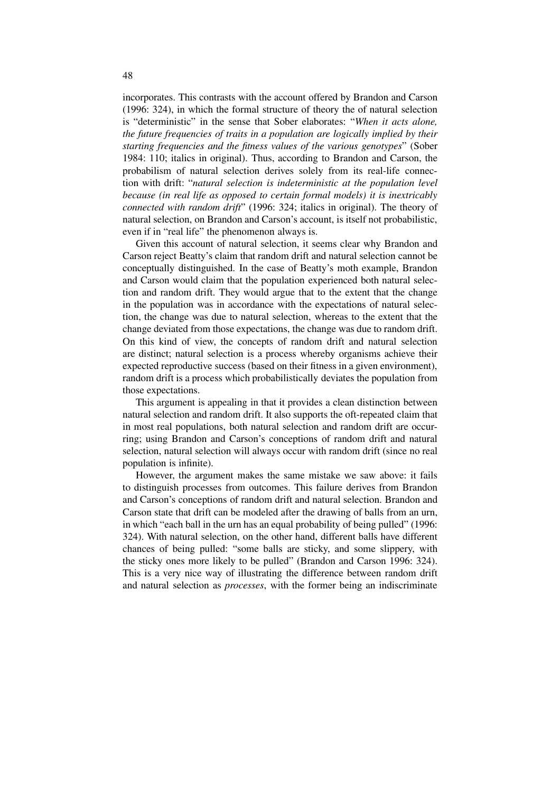incorporates. This contrasts with the account offered by Brandon and Carson (1996: 324), in which the formal structure of theory the of natural selection is "deterministic" in the sense that Sober elaborates: "*When it acts alone, the future frequencies of traits in a population are logically implied by their starting frequencies and the fitness values of the various genotypes*" (Sober 1984: 110; italics in original). Thus, according to Brandon and Carson, the probabilism of natural selection derives solely from its real-life connection with drift: "*natural selection is indeterministic at the population level because (in real life as opposed to certain formal models) it is inextricably connected with random drift*" (1996: 324; italics in original). The theory of natural selection, on Brandon and Carson's account, is itself not probabilistic, even if in "real life" the phenomenon always is.

Given this account of natural selection, it seems clear why Brandon and Carson reject Beatty's claim that random drift and natural selection cannot be conceptually distinguished. In the case of Beatty's moth example, Brandon and Carson would claim that the population experienced both natural selection and random drift. They would argue that to the extent that the change in the population was in accordance with the expectations of natural selection, the change was due to natural selection, whereas to the extent that the change deviated from those expectations, the change was due to random drift. On this kind of view, the concepts of random drift and natural selection are distinct; natural selection is a process whereby organisms achieve their expected reproductive success (based on their fitness in a given environment), random drift is a process which probabilistically deviates the population from those expectations.

This argument is appealing in that it provides a clean distinction between natural selection and random drift. It also supports the oft-repeated claim that in most real populations, both natural selection and random drift are occurring; using Brandon and Carson's conceptions of random drift and natural selection, natural selection will always occur with random drift (since no real population is infinite).

However, the argument makes the same mistake we saw above: it fails to distinguish processes from outcomes. This failure derives from Brandon and Carson's conceptions of random drift and natural selection. Brandon and Carson state that drift can be modeled after the drawing of balls from an urn, in which "each ball in the urn has an equal probability of being pulled" (1996: 324). With natural selection, on the other hand, different balls have different chances of being pulled: "some balls are sticky, and some slippery, with the sticky ones more likely to be pulled" (Brandon and Carson 1996: 324). This is a very nice way of illustrating the difference between random drift and natural selection as *processes*, with the former being an indiscriminate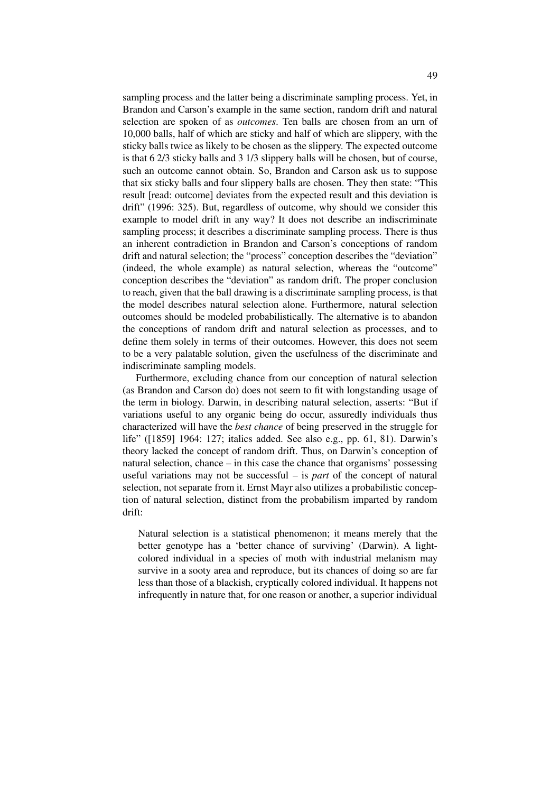sampling process and the latter being a discriminate sampling process. Yet, in Brandon and Carson's example in the same section, random drift and natural selection are spoken of as *outcomes*. Ten balls are chosen from an urn of 10,000 balls, half of which are sticky and half of which are slippery, with the sticky balls twice as likely to be chosen as the slippery. The expected outcome is that 6 2/3 sticky balls and 3 1/3 slippery balls will be chosen, but of course, such an outcome cannot obtain. So, Brandon and Carson ask us to suppose that six sticky balls and four slippery balls are chosen. They then state: "This result [read: outcome] deviates from the expected result and this deviation is drift" (1996: 325). But, regardless of outcome, why should we consider this example to model drift in any way? It does not describe an indiscriminate sampling process; it describes a discriminate sampling process. There is thus an inherent contradiction in Brandon and Carson's conceptions of random drift and natural selection; the "process" conception describes the "deviation" (indeed, the whole example) as natural selection, whereas the "outcome" conception describes the "deviation" as random drift. The proper conclusion to reach, given that the ball drawing is a discriminate sampling process, is that the model describes natural selection alone. Furthermore, natural selection outcomes should be modeled probabilistically. The alternative is to abandon the conceptions of random drift and natural selection as processes, and to define them solely in terms of their outcomes. However, this does not seem to be a very palatable solution, given the usefulness of the discriminate and indiscriminate sampling models.

Furthermore, excluding chance from our conception of natural selection (as Brandon and Carson do) does not seem to fit with longstanding usage of the term in biology. Darwin, in describing natural selection, asserts: "But if variations useful to any organic being do occur, assuredly individuals thus characterized will have the *best chance* of being preserved in the struggle for life" ([1859] 1964: 127; italics added. See also e.g., pp. 61, 81). Darwin's theory lacked the concept of random drift. Thus, on Darwin's conception of natural selection, chance – in this case the chance that organisms' possessing useful variations may not be successful – is *part* of the concept of natural selection, not separate from it. Ernst Mayr also utilizes a probabilistic conception of natural selection, distinct from the probabilism imparted by random drift:

Natural selection is a statistical phenomenon; it means merely that the better genotype has a 'better chance of surviving' (Darwin). A lightcolored individual in a species of moth with industrial melanism may survive in a sooty area and reproduce, but its chances of doing so are far less than those of a blackish, cryptically colored individual. It happens not infrequently in nature that, for one reason or another, a superior individual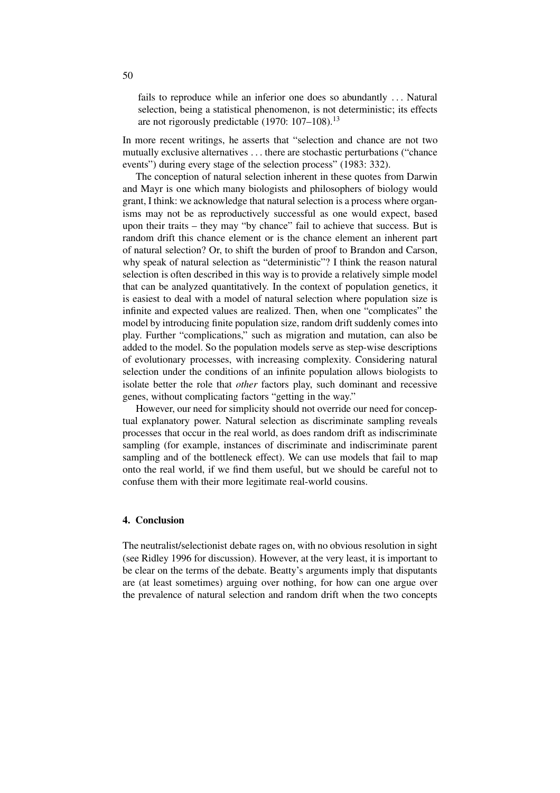fails to reproduce while an inferior one does so abundantly *...* Natural selection, being a statistical phenomenon, is not deterministic; its effects are not rigorously predictable  $(1970: 107-108).$ <sup>13</sup>

In more recent writings, he asserts that "selection and chance are not two mutually exclusive alternatives *...* there are stochastic perturbations ("chance events") during every stage of the selection process" (1983: 332).

The conception of natural selection inherent in these quotes from Darwin and Mayr is one which many biologists and philosophers of biology would grant, I think: we acknowledge that natural selection is a process where organisms may not be as reproductively successful as one would expect, based upon their traits – they may "by chance" fail to achieve that success. But is random drift this chance element or is the chance element an inherent part of natural selection? Or, to shift the burden of proof to Brandon and Carson, why speak of natural selection as "deterministic"? I think the reason natural selection is often described in this way is to provide a relatively simple model that can be analyzed quantitatively. In the context of population genetics, it is easiest to deal with a model of natural selection where population size is infinite and expected values are realized. Then, when one "complicates" the model by introducing finite population size, random drift suddenly comes into play. Further "complications," such as migration and mutation, can also be added to the model. So the population models serve as step-wise descriptions of evolutionary processes, with increasing complexity. Considering natural selection under the conditions of an infinite population allows biologists to isolate better the role that *other* factors play, such dominant and recessive genes, without complicating factors "getting in the way."

However, our need for simplicity should not override our need for conceptual explanatory power. Natural selection as discriminate sampling reveals processes that occur in the real world, as does random drift as indiscriminate sampling (for example, instances of discriminate and indiscriminate parent sampling and of the bottleneck effect). We can use models that fail to map onto the real world, if we find them useful, but we should be careful not to confuse them with their more legitimate real-world cousins.

#### **4. Conclusion**

The neutralist/selectionist debate rages on, with no obvious resolution in sight (see Ridley 1996 for discussion). However, at the very least, it is important to be clear on the terms of the debate. Beatty's arguments imply that disputants are (at least sometimes) arguing over nothing, for how can one argue over the prevalence of natural selection and random drift when the two concepts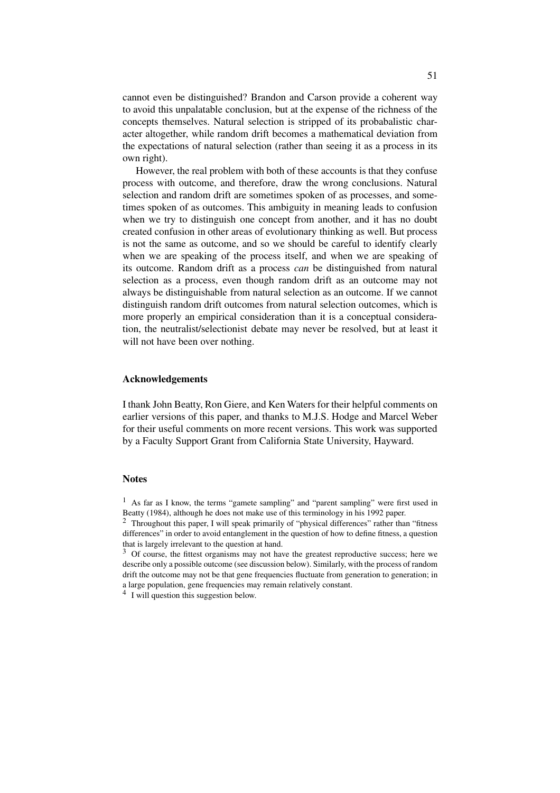cannot even be distinguished? Brandon and Carson provide a coherent way to avoid this unpalatable conclusion, but at the expense of the richness of the concepts themselves. Natural selection is stripped of its probabalistic character altogether, while random drift becomes a mathematical deviation from the expectations of natural selection (rather than seeing it as a process in its own right).

However, the real problem with both of these accounts is that they confuse process with outcome, and therefore, draw the wrong conclusions. Natural selection and random drift are sometimes spoken of as processes, and sometimes spoken of as outcomes. This ambiguity in meaning leads to confusion when we try to distinguish one concept from another, and it has no doubt created confusion in other areas of evolutionary thinking as well. But process is not the same as outcome, and so we should be careful to identify clearly when we are speaking of the process itself, and when we are speaking of its outcome. Random drift as a process *can* be distinguished from natural selection as a process, even though random drift as an outcome may not always be distinguishable from natural selection as an outcome. If we cannot distinguish random drift outcomes from natural selection outcomes, which is more properly an empirical consideration than it is a conceptual consideration, the neutralist/selectionist debate may never be resolved, but at least it will not have been over nothing.

## **Acknowledgements**

I thank John Beatty, Ron Giere, and Ken Waters for their helpful comments on earlier versions of this paper, and thanks to M.J.S. Hodge and Marcel Weber for their useful comments on more recent versions. This work was supported by a Faculty Support Grant from California State University, Hayward.

## **Notes**

<sup>1</sup> As far as I know, the terms "gamete sampling" and "parent sampling" were first used in Beatty (1984), although he does not make use of this terminology in his 1992 paper.

<sup>2</sup> Throughout this paper, I will speak primarily of "physical differences" rather than "fitness differences" in order to avoid entanglement in the question of how to define fitness, a question that is largely irrelevant to the question at hand.

<sup>3</sup> Of course, the fittest organisms may not have the greatest reproductive success; here we describe only a possible outcome (see discussion below). Similarly, with the process of random drift the outcome may not be that gene frequencies fluctuate from generation to generation; in a large population, gene frequencies may remain relatively constant.

<sup>4</sup> I will question this suggestion below.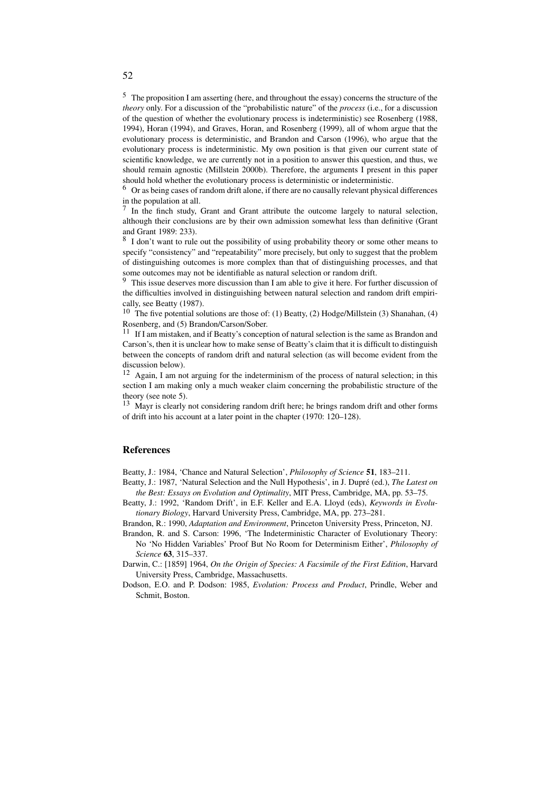<sup>5</sup> The proposition I am asserting (here, and throughout the essay) concerns the structure of the *theory* only. For a discussion of the "probabilistic nature" of the *process* (i.e., for a discussion of the question of whether the evolutionary process is indeterministic) see Rosenberg (1988, 1994), Horan (1994), and Graves, Horan, and Rosenberg (1999), all of whom argue that the evolutionary process is deterministic, and Brandon and Carson (1996), who argue that the evolutionary process is indeterministic. My own position is that given our current state of scientific knowledge, we are currently not in a position to answer this question, and thus, we should remain agnostic (Millstein 2000b). Therefore, the arguments I present in this paper should hold whether the evolutionary process is deterministic or indeterministic.

 $6\,$  Or as being cases of random drift alone, if there are no causally relevant physical differences in the population at all.

In the finch study, Grant and Grant attribute the outcome largely to natural selection, although their conclusions are by their own admission somewhat less than definitive (Grant and Grant 1989: 233).

<sup>8</sup> I don't want to rule out the possibility of using probability theory or some other means to specify "consistency" and "repeatability" more precisely, but only to suggest that the problem of distinguishing outcomes is more complex than that of distinguishing processes, and that some outcomes may not be identifiable as natural selection or random drift.

This issue deserves more discussion than I am able to give it here. For further discussion of the difficulties involved in distinguishing between natural selection and random drift empirically, see Beatty (1987).

<sup>10</sup> The five potential solutions are those of: (1) Beatty, (2) Hodge/Millstein (3) Shanahan, (4) Rosenberg, and (5) Brandon/Carson/Sober.

 $11$  If I am mistaken, and if Beatty's conception of natural selection is the same as Brandon and Carson's, then it is unclear how to make sense of Beatty's claim that it is difficult to distinguish between the concepts of random drift and natural selection (as will become evident from the discussion below).<br> $\frac{12}{2}$  Again Lam no

Again, I am not arguing for the indeterminism of the process of natural selection; in this section I am making only a much weaker claim concerning the probabilistic structure of the theory (see note 5).

<sup>13</sup> Mayr is clearly not considering random drift here; he brings random drift and other forms of drift into his account at a later point in the chapter (1970: 120–128).

## **References**

Beatty, J.: 1984, 'Chance and Natural Selection', *Philosophy of Science* **51**, 183–211.

- Beatty, J.: 1987, 'Natural Selection and the Null Hypothesis', in J. Dupré (ed.), *The Latest on the Best: Essays on Evolution and Optimality*, MIT Press, Cambridge, MA, pp. 53–75.
- Beatty, J.: 1992, 'Random Drift', in E.F. Keller and E.A. Lloyd (eds), *Keywords in Evolutionary Biology*, Harvard University Press, Cambridge, MA, pp. 273–281.

Brandon, R.: 1990, *Adaptation and Environment*, Princeton University Press, Princeton, NJ.

Brandon, R. and S. Carson: 1996, 'The Indeterministic Character of Evolutionary Theory: No 'No Hidden Variables' Proof But No Room for Determinism Either', *Philosophy of Science* **63**, 315–337.

Darwin, C.: [1859] 1964, *On the Origin of Species: A Facsimile of the First Edition*, Harvard University Press, Cambridge, Massachusetts.

Dodson, E.O. and P. Dodson: 1985, *Evolution: Process and Product*, Prindle, Weber and Schmit, Boston.

52